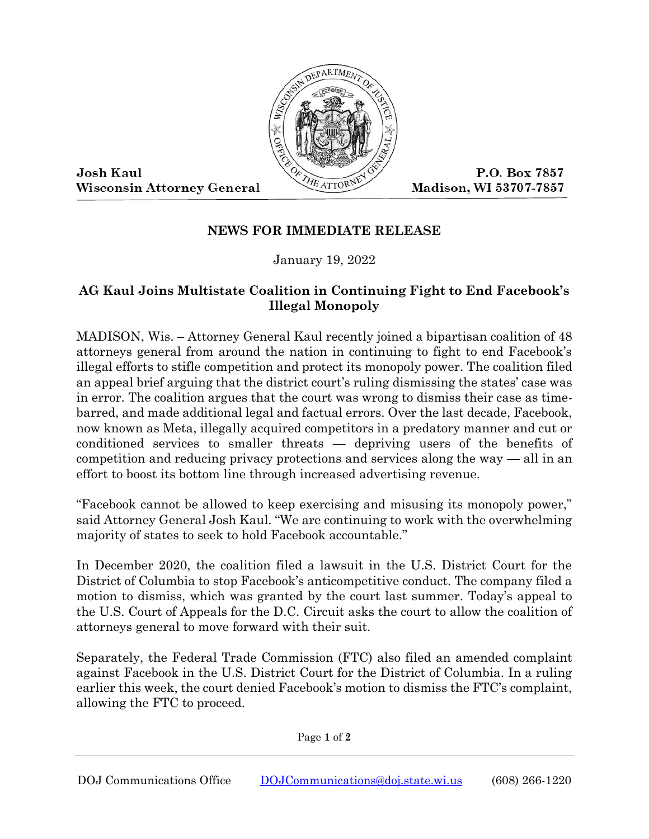

**Josh Kaul Wisconsin Attorney General** 

P.O. Box 7857 Madison, WI 53707-7857

## **NEWS FOR IMMEDIATE RELEASE**

January 19, 2022

## **AG Kaul Joins Multistate Coalition in Continuing Fight to End Facebook's Illegal Monopoly**

MADISON, Wis. – Attorney General Kaul recently joined a bipartisan coalition of 48 attorneys general from around the nation in continuing to fight to end Facebook's illegal efforts to stifle competition and protect its monopoly power. The coalition filed an appeal brief arguing that the district court's ruling dismissing the states' case was in error. The coalition argues that the court was wrong to dismiss their case as timebarred, and made additional legal and factual errors. Over the last decade, Facebook, now known as Meta, illegally acquired competitors in a predatory manner and cut or conditioned services to smaller threats — depriving users of the benefits of competition and reducing privacy protections and services along the way — all in an effort to boost its bottom line through increased advertising revenue.

"Facebook cannot be allowed to keep exercising and misusing its monopoly power," said Attorney General Josh Kaul. "We are continuing to work with the overwhelming majority of states to seek to hold Facebook accountable."

In December 2020, the coalition filed a lawsuit in the U.S. District Court for the District of Columbia to stop Facebook's anticompetitive conduct. The company filed a motion to dismiss, which was granted by the court last summer. Today's appeal to the U.S. Court of Appeals for the D.C. Circuit asks the court to allow the coalition of attorneys general to move forward with their suit.

Separately, the Federal Trade Commission (FTC) also filed an amended complaint against Facebook in the U.S. District Court for the District of Columbia. In a ruling earlier this week, the court denied Facebook's motion to dismiss the FTC's complaint, allowing the FTC to proceed.

Page **1** of **2**